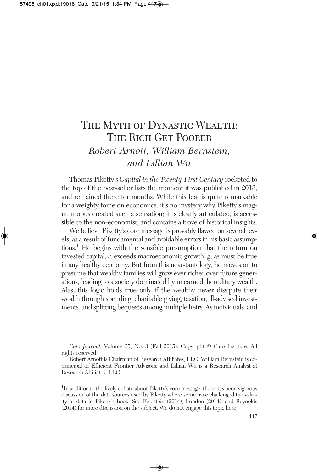# THE MYTH OF DYNASTIC WEALTH: THE RICH GET POORER *Robert Arnott, William Bernstein, and Lillian Wu*

Thomas Piketty's *Capital in the Twenty-First Century* rocketed to the top of the best-seller lists the moment it was published in 2013, and remained there for months. While this feat is quite remarkable for a weighty tome on economics, it's no mystery why Piketty's magnum opus created such a sensation; it is clearly articulated, is accessible to the non-economist, and contains a trove of historical insights.

We believe Piketty's core message is provably flawed on several levels, as a result of fundamental and avoidable errorsin his basic assumptions. <sup>1</sup> He begins with the sensible presumption that the return on invested capital, *r*, exceeds macroeconomic growth, *g*, as must be true in any healthy economy. But from this near-tautology, he moves on to presume that wealthy families will grow ever richer over future generations, leading to a society dominated by unearned, hereditary wealth. Alas, this logic holds true only if the wealthy never dissipate their wealth through spending, charitable giving, taxation, ill-advised investments, and splitting bequests among multiple heirs. As individuals, and

*Cato Journal,* Volume 35, No. 3 (Fall 2015). Copyright © Cato Institute. All rights reserved.

Robert Arnott is Chairman of Research Affiliates, LLC; William Bernstein is coprincipal of Efficient Frontier Advisors; and Lillian Wu is a Research Analyst at Research Affiliates, LLC.

<sup>&</sup>lt;sup>1</sup>In addition to the lively debate about Piketty's core message, there has been vigorous discussion of the data sources used by Piketty where some have challenged the validity of data in Piketty's book. See Feldstein (2014), London (2014), and Reynolds (2014) for more discussion on the subject. We do not engage this topic here.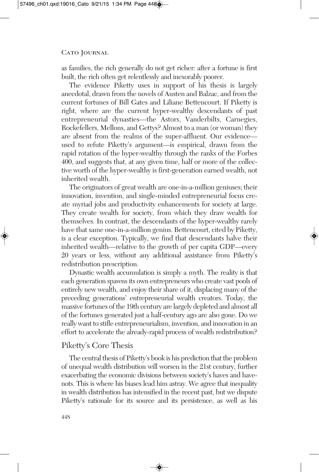as families, the rich generally do not get richer: after a fortune is first built, the rich often get relentlessly and inexorably poorer.

The evidence Piketty uses in support of his thesis is largely anecdotal, drawn from the novels of Austen and Balzac, and from the current fortunes of Bill Gates and Liliane Bettencourt. If Piketty is right, where are the current hyper-wealthy descendants of past entrepreneurial dynasties—the Astors, Vanderbilts, Carnegies, Rockefellers, Mellons, and Gettys? Almost to a man (or woman) they are absent from the realms of the super-affluent. Our evidence used to refute Piketty's argument—is empirical, drawn from the rapid rotation of the hyper-wealthy through the ranks of the Forbes 400, and suggests that, at any given time, half or more of the collective worth of the hyper-wealthy is first-generation earned wealth, not inherited wealth.

The originators of great wealth are one-in-a-million geniuses; their innovation, invention, and single-minded entrepreneurial focus create myriad jobs and productivity enhancements for society at large. They create wealth for society, from which they draw wealth for themselves. In contrast, the descendants of the hyper-wealthy rarely have that same one-in-a-million genius. Bettencourt, cited by Piketty, is a clear exception. Typically, we find that descendants halve their inherited wealth—relative to the growth of per capita GDP—every 20 years or less, without any additional assistance from Piketty's redistribution prescription.

Dynastic wealth accumulation is simply a myth. The reality is that each generation spawns its own entrepreneurs who create vast pools of entirely new wealth, and enjoy their share of it, displacing many of the preceding generations' entrepreneurial wealth creators. Today, the massive fortunes of the 19th century are largely depleted and almost all of the fortunes generated just a half-century ago are also gone. Do we really want to stifle entrepreneurialism, invention, and innovation in an effort to accelerate the already-rapid process of wealth redistribution?

### Piketty's Core Thesis

The central thesis of Piketty's book is his prediction that the problem of unequal wealth distribution will worsen in the 21st century, further exacerbating the economic divisions between society's haves and havenots. This is where his biases lead him astray. We agree that inequality in wealth distribution has intensified in the recent past, but we dispute Piketty's rationale for its source and its persistence, as well as his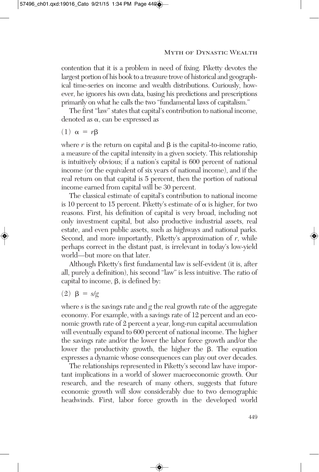contention that it is a problem in need of fixing. Piketty devotes the largest portion of his book to a treasure trove of historical and geographical time-series on income and wealth distributions. Curiously, however, he ignores his own data, basing his predictions and prescriptions primarily on what he calls the two "fundamental laws of capitalism."

The first "law" states that capital's contribution to national income, denoted as  $\alpha$ , can be expressed as

(1)  $\alpha = r\beta$ 

where  $r$  is the return on capital and  $\beta$  is the capital-to-income ratio, a measure of the capital intensity in a given society. This relationship is intuitively obvious; if a nation's capital is 600 percent of national income (or the equivalent of six years of national income), and if the real return on that capital is 5 percent, then the portion of national income earned from capital will be 30 percent.

The classical estimate of capital's contribution to national income is 10 percent to 15 percent. Piketty's estimate of  $\alpha$  is higher, for two reasons. First, his definition of capital is very broad, including not only investment capital, but also productive industrial assets, real estate, and even public assets, such as highways and national parks. Second, and more importantly, Piketty's approximation of *r*, while perhaps correct in the distant past, is irrelevant in today's low-yield world—but more on that later.

Although Piketty's first fundamental law is self-evident (it is, after all, purely a definition), his second "law" is less intuitive. The ratio of capital to income,  $\beta$ , is defined by:

$$
(2) \ \beta = s/g
$$

where *s* is the savings rate and *g* the real growth rate of the aggregate economy. For example, with a savings rate of 12 percent and an economic growth rate of 2 percent a year, long-run capital accumulation will eventually expand to 600 percent of national income. The higher the savings rate and/or the lower the labor force growth and/or the lower the productivity growth, the higher the  $\beta$ . The equation expresses a dynamic whose consequences can play out over decades.

The relationships represented in Piketty's second law have important implications in a world of slower macroeconomic growth. Our research, and the research of many others, suggests that future economic growth will slow considerably due to two demographic headwinds. First, labor force growth in the developed world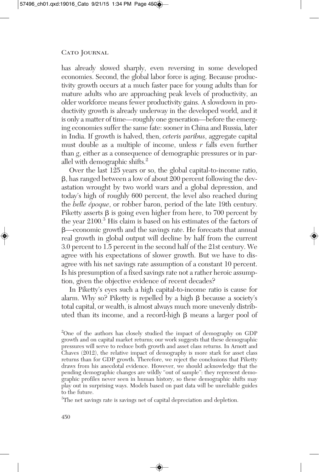has already slowed sharply, even reversing in some developed economies. Second, the global labor force is aging. Because productivity growth occurs at a much faster pace for young adults than for mature adults who are approaching peak levels of productivity, an older workforce means fewer productivity gains. A slowdown in productivity growth is already underway in the developed world, and it is only a matter of time—roughly one generation—before the emerging economies suffer the same fate: sooner in China and Russia, later in India. If growth is halved, then, *ceteris paribus*, aggregate capital must double as a multiple of income, unless *r* falls even further than *g*, either as a consequence of demographic pressures or in parallel with demographic shifts. 2

Over the last 125 years or so, the global capital-to-income ratio, , has ranged between a low of about 200 percent following the devastation wrought by two world wars and a global depression, and today's high of roughly 600 percent, the level also reached during the *belle époque*, or robber baron, period of the late 19th century. Piketty asserts  $\beta$  is going even higher from here, to 700 percent by the year 2100. <sup>3</sup> His claim is based on his estimates of the factors of —economic growth and the savings rate. He forecasts that annual real growth in global output will decline by half from the current 3.0 percent to 1.5 percent in the second half of the 21st century. We agree with his expectations of slower growth. But we have to disagree with his net savings rate assumption of a constant 10 percent. Is his presumption of a fixed savings rate not a rather heroic assumption, given the objective evidence of recent decades?

In Piketty's eyes such a high capital-to-income ratio is cause for alarm. Why so? Piketty is repelled by a high  $\beta$  because a society's total capital, or wealth, is almost always much more unevenly distributed than its income, and a record-high  $\beta$  means a larger pool of

<sup>3</sup>The net savings rate is savings net of capital depreciation and depletion.

<sup>2</sup> One of the authors has closely studied the impact of demography on GDP growth and on capital market returns; our work suggests that these demographic pressures will serve to reduce both growth and asset class returns. In Arnott and Chaves (2012), the relative impact of demography is more stark for asset class returns than for GDP growth. Therefore, we reject the conclusions that Piketty draws from his anecdotal evidence. However, we should acknowledge that the pending demographic changes are wildly "out of sample": they represent demographic profiles never seen in human history, so these demographic shifts may play out in surprising ways. Models based on past data will be unreliable guides to the future.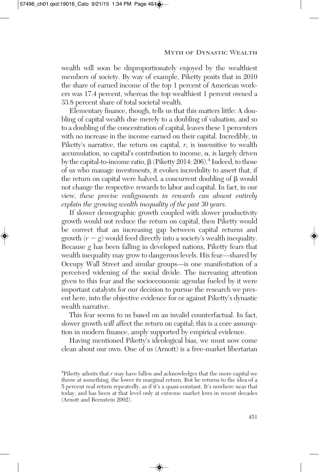wealth will soon be disproportionately enjoyed by the wealthiest members of society. By way of example, Piketty posits that in 2010 the share of earned income of the top 1 percent of American workers was 17.4 percent, whereas the top wealthiest 1 percent owned a 33.8 percent share of total societal wealth.

Elementary finance, though, tells us that this matters little: A doubling of capital wealth due merely to a doubling of valuation, and so to a doubling of the concentration of capital, leaves these 1 percenters with no increase in the income earned on their capital. Incredibly, in Piketty's narrative, the return on capital, *r*, is insensitive to wealth accumulation, so capital's contribution to income,  $\alpha$ , is largely driven by the capital-to-income ratio, β (Piketty 2014: 206).<sup>4</sup> Indeed, to those of us who manage investments, it evokes incredulity to assert that, if the return on capital were halved, a concurrent doubling of  $\beta$  would not change the respective rewards to labor and capital. In fact, in our view, *these precise realignments in rewards can almost entirely explain the growing wealth inequality of the past 30 years*.

If slower demographic growth coupled with slower productivity growth would not reduce the return on capital, then Piketty would be correct that an increasing gap between capital returns and growth  $(r - g)$  would feed directly into a society's wealth inequality. Because *g* has been falling in developed nations, Piketty fears that wealth inequality may grow to dangerous levels. His fear—shared by Occupy Wall Street and similar groups—is one manifestation of a perceived widening of the social divide. The increasing attention given to this fear and the socioeconomic agendas fueled by it were important catalysts for our decision to pursue the research we present here, into the objective evidence for or against Piketty's dynastic wealth narrative.

This fear seems to us based on an invalid counterfactual. In fact, slower growth *will* affect the return on capital; this is a core assumption in modern finance, amply supported by empirical evidence.

Having mentioned Piketty's ideological bias, we must now come clean about our own. One of us (Arnott) is a free-market libertarian

<sup>&</sup>lt;sup>4</sup>Piketty admits that *r* may have fallen and acknowledges that the more capital we throw at something, the lower its marginal return. But he returns to the idea of a 5 percent real return repeatedly, as if it's a quasi-constant. It's nowhere near that today, and has been at that level only at extreme market lows in recent decades (Arnott and Bernstein 2002).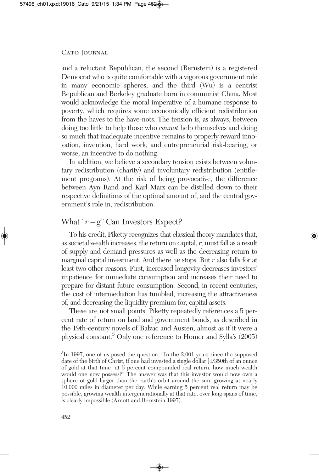and a reluctant Republican, the second (Bernstein) is a registered Democrat who is quite comfortable with a vigorous government role in many economic spheres, and the third (Wu) is a centrist Republican and Berkeley graduate born in communist China. Most would acknowledge the moral imperative of a humane response to poverty, which requires some economically efficient redistribution from the haves to the have-nots. The tension is, as always, between doing too little to help those who *cannot* help themselves and doing so much that inadequate incentive remains to properly reward innovation, invention, hard work, and entrepreneurial risk-bearing, or worse, an incentive to do nothing.

In addition, we believe a secondary tension exists between voluntary redistribution (charity) and involuntary redistribution (entitlement programs). At the risk of being provocative, the difference between Ayn Rand and Karl Marx can be distilled down to their respective definitions of the optimal amount of, and the central government's role in, redistribution.

## What " $r - g$ " Can Investors Expect?

To his credit, Piketty recognizes that classical theory mandates that, associetal wealth increases, the return on capital, *r,* must fall as a result of supply and demand pressures as well as the decreasing return to marginal capital investment. And there he stops. But *r* also falls for at least two other reasons. First, increased longevity decreases investors' impatience for immediate consumption and increases their need to prepare for distant future consumption. Second, in recent centuries, the cost of intermediation has tumbled, increasing the attractiveness of, and decreasing the liquidity premium for, capital assets.

These are not small points. Piketty repeatedly references a 5 percent rate of return on land and government bonds, as described in the 19th-century novels of Balzac and Austen, almost as if it were a physical constant. <sup>5</sup> Only one reference to Homer and Sylla's (2005)

<sup>5</sup> In 1997, one of us posed the question, "In the 2,001 years since the supposed date of the birth of Christ, if one had invested a single dollar [1/350th of an ounce of gold at that time] at 5 percent compounded real return, how much wealth would one now possess?" The answer was that this investor would now own a sphere of gold larger than the earth's orbit around the sun, growing at nearly 10,000 miles in diameter per day. While earning 5 percent real return may be possible, growing wealth intergenerationally at that rate, over long spans of time, is clearly impossible (Arnott and Bernstein 1997).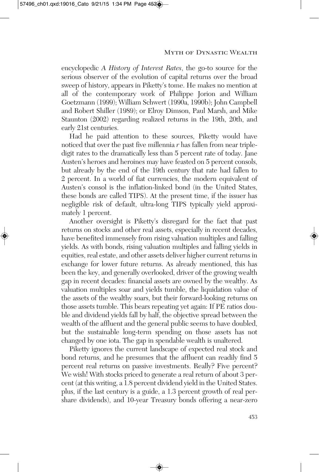encyclopedic *A History of Interest Rates*, the go-to source for the serious observer of the evolution of capital returns over the broad sweep of history, appears in Piketty's tome. He makes no mention at all of the contemporary work of Philippe Jorion and William Goetzmann (1999); William Schwert (1990a, 1990b); John Campbell and Robert Shiller (1989); or Elroy Dimson, Paul Marsh, and Mike Staunton (2002) regarding realized returns in the 19th, 20th, and early 21st centuries.

Had he paid attention to these sources, Piketty would have noticed that over the past five millennia *r* has fallen from near tripledigit rates to the dramatically less than 5 percent rate of today. Jane Austen's heroes and heroines may have feasted on 5 percent consols, but already by the end of the 19th century that rate had fallen to 2 percent. In a world of fiat currencies, the modern equivalent of Austen's consol is the inflation-linked bond (in the United States, these bonds are called TIPS). At the present time, if the issuer has negligible risk of default, ultra-long TIPS typically yield approximately 1 percent.

Another oversight is Piketty's disregard for the fact that past returns on stocks and other real assets, especially in recent decades, have benefited immensely from rising valuation multiples and falling yields. As with bonds, rising valuation multiples and falling yields in equities, real estate, and other assets deliver higher current returns in exchange for lower future returns. As already mentioned, this has been the key, and generally overlooked, driver of the growing wealth gap in recent decades: financial assets are owned by the wealthy. As valuation multiples soar and yields tumble, the liquidation value of the assets of the wealthy soars, but their forward-looking returns on those assets tumble. This bears repeating yet again: If PE ratios double and dividend yields fall by half, the objective spread between the wealth of the affluent and the general public seems to have doubled, but the sustainable long-term spending on those assets has not changed by one iota. The gap in spendable wealth is unaltered.

Piketty ignores the current landscape of expected real stock and bond returns, and he presumes that the affluent can readily find 5 percent real returns on passive investments. Really? Five percent? We wish! With stocks priced to generate a real return of about 3 percent (at this writing, a 1.8 percent dividend yield in the United States. plus, if the last century is a guide, a 1.3 percent growth of real pershare dividends), and 10-year Treasury bonds offering a near-zero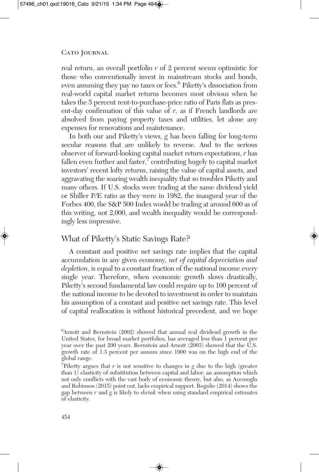real return, an overall portfolio *r* of 2 percent seems optimistic for those who conventionally invest in mainstream stocks and bonds, even assuming they pay no taxes or fees. <sup>6</sup> Piketty's dissociation from real-world capital market returns becomes most obvious when he takes the 5 percent rent-to-purchase-price ratio of Paris flats as present-day confirmation of this value of *r,* as if French landlords are absolved from paying property taxes and utilities, let alone any expenses for renovations and maintenance.

In both our and Piketty's views, *g* has been falling for long-term secular reasons that are unlikely to reverse. And to the serious observer of forward-looking capital market return expectations, *r* has fallen even further and faster, $\bar{ }$  contributing hugely to capital market investors' recent lofty returns, raising the value of capital assets, and aggravating the soaring wealth inequality that so troubles Piketty and many others. If U.S. stocks were trading at the same dividend yield or Shiller P/E ratio as they were in 1982, the inaugural year of the Forbes 400, the S&P 500 Index would be trading at around 600 as of this writing, not 2,000, and wealth inequality would be correspondingly less impressive.

# What of Piketty's Static Savings Rate?

A constant and positive net savings rate implies that the capital accumulation in any given economy, *net of capital depreciation and depletion*, is equal to a constant fraction of the national income every single year. Therefore, when economic growth slows drastically, Piketty's second fundamental law could require up to 100 percent of the national income to be devoted to investment in order to maintain his assumption of a constant and positive net savings rate. This level of capital reallocation is without historical precedent, and we hope

<sup>6</sup> Arnott and Bernstein (2002) showed that annual real dividend growth in the United States, for broad market portfolios, has averaged less than 1 percent per year over the past 200 years. Bernstein and Arnott (2003) showed that the U.S. growth rate of 1.3 percent per annum since 1900 was on the high end of the global range.

<sup>7</sup> Piketty argues that *r* is not sensitive to changes in *g* due to the high (greater than 1) elasticity of substitution between capital and labor; an assumption which not only conflicts with the vast body of economic theory, but also, as Acemoglu and Robinson (2015) point out, lacks empirical support. Rognlie (2014) shows the gap between *r* and *g* is likely to *shrink* when using standard empirical estimates of elasticity.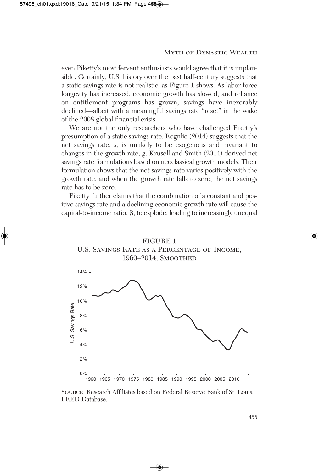even Piketty's most fervent enthusiasts would agree that it is implausible. Certainly, U.S. history over the past half-century suggests that a static savings rate is not realistic, as Figure 1 shows. As labor force longevity has increased, economic growth has slowed, and reliance on entitlement programs has grown, savings have inexorably declined—albeit with a meaningful savings rate "reset" in the wake of the 2008 global financial crisis.

We are not the only researchers who have challenged Piketty's presumption of a static savings rate. Rognlie (2014) suggests that the net savings rate, *s*, is unlikely to be exogenous and invariant to changes in the growth rate, *g*. Krusell and Smith (2014) derived net savings rate formulations based on neoclassical growth models. Their formulation shows that the net savings rate varies positively with the growth rate, and when the growth rate falls to zero, the net savings rate has to be zero.

Piketty further claims that the combination of a constant and positive savings rate and a declining economic growth rate will cause the capital-to-income ratio,  $\beta$ , to explode, leading to increasingly unequal



Source: Research Affiliates based on Federal Reserve Bank of St. Louis, FRED Database.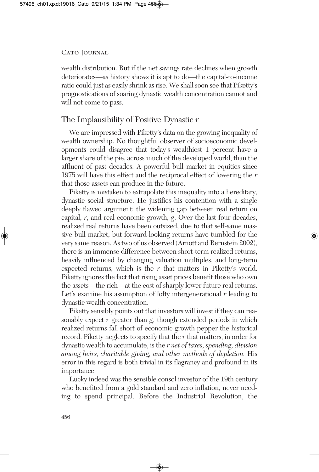wealth distribution. But if the net savings rate declines when growth deteriorates—as history shows it is apt to do—the capital-to-income ratio could just as easily shrink as rise. We shall soon see that Piketty's prognostications of soaring dynastic wealth concentration cannot and will not come to pass.

# The Implausibility of Positive Dynastic *r*

We are impressed with Piketty's data on the growing inequality of wealth ownership. No thoughtful observer of socioeconomic developments could disagree that today's wealthiest 1 percent have a larger share of the pie, across much of the developed world, than the affluent of past decades. A powerful bull market in equities since 1975 will have this effect and the reciprocal effect of lowering the *r* that those assets can produce in the future.

Piketty is mistaken to extrapolate this inequality into a hereditary, dynastic social structure. He justifies his contention with a single deeply flawed argument: the widening gap between real return on capital, *r*, and real economic growth, *g*. Over the last four decades, realized real returns have been outsized, due to that self-same massive bull market, but forward-looking returns have tumbled for the very same reason. Astwo of us observed (Arnott and Bernstein 2002), there is an immense difference between short-term realized returns, heavily influenced by changing valuation multiples, and long-term expected returns, which is the *r* that matters in Piketty's world. Piketty ignores the fact that rising asset prices benefit those who own the assets—the rich—at the cost of sharply lower future real returns. Let's examine his assumption of lofty intergenerational *r* leading to dynastic wealth concentration.

Piketty sensibly points out that investors will invest if they can reasonably expect *r* greater than *g*, though extended periods in which realized returns fall short of economic growth pepper the historical record. Piketty neglects to specify that the *r* that matters, in order for dynastic wealth to accumulate, is the *r net of taxes, spending, division among heirs, charitable giving, and other methods of depletion.* His error in this regard is both trivial in its flagrancy and profound in its importance.

Lucky indeed was the sensible consol investor of the 19th century who benefited from a gold standard and zero inflation, never needing to spend principal. Before the Industrial Revolution, the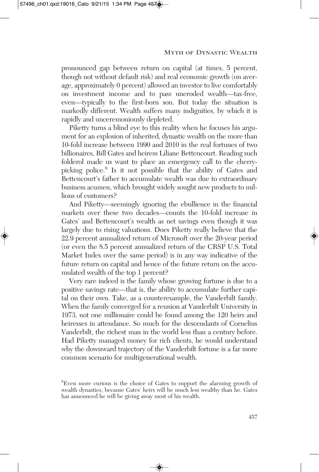pronounced gap between return on capital (at times, 5 percent, though not without default risk) and real economic growth (on average, approximately 0 percent) allowed an investor to live comfortably on investment income and to pass uneroded wealth—tax-free, even—typically to the first-born son. But today the situation is markedly different. Wealth suffers many indignities, by which it is rapidly and unceremoniously depleted.

Piketty turns a blind eye to this reality when he focuses his argument for an explosion of inherited, dynastic wealth on the more than 10-fold increase between 1990 and 2010 in the real fortunes of two billionaires, Bill Gates and heiress Liliane Bettencourt. Reading such folderol made us want to place an emergency call to the cherrypicking police. <sup>8</sup> Is it not possible that the ability of Gates and Bettencourt's father to accumulate wealth was due to extraordinary business acumen, which brought widely sought new products to millions of customers?

And Piketty—seemingly ignoring the ebullience in the financial markets over these two decades—counts the 10-fold increase in Gates' and Bettencourt's wealth as net savings even though it was largely due to rising valuations. Does Piketty really believe that the 22.9 percent annualized return of Microsoft over the 20-year period (or even the 8.5 percent annualized return of the CRSP U.S. Total Market Index over the same period) is in any way indicative of the future return on capital and hence of the future return on the accumulated wealth of the top 1 percent?

Very rare indeed is the family whose growing fortune is due to a positive savings rate—that is, the ability to accumulate further capital on their own. Take, as a counterexample, the Vanderbilt family. When the family converged for a reunion at Vanderbilt University in 1973, not one millionaire could be found among the 120 heirs and heiresses in attendance. So much for the descendants of Cornelius Vanderbilt, the richest man in the world less than a century before. Had Piketty managed money for rich clients, he would understand why the downward trajectory of the Vanderbilt fortune is a far more common scenario for multigenerational wealth.

<sup>8</sup> Even more curious is the choice of Gates to support the alarming growth of wealth dynasties, because Gates' heirs will be much less wealthy than he. Gates has announced he will be giving away most of his wealth.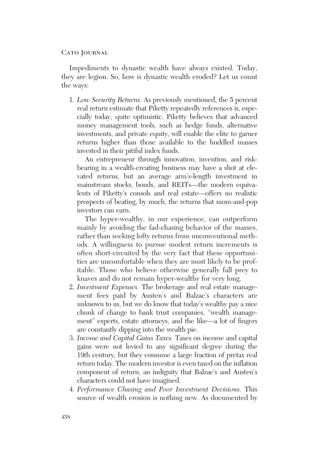Impediments to dynastic wealth have always existed. Today, they are legion. So, how is dynastic wealth eroded? Let us count the ways:

1. *Low Security Returns.* As previously mentioned, the 5 percent real return estimate that Piketty repeatedly references is, especially today, quite optimistic. Piketty believes that advanced money management tools, such as hedge funds, alternative investments, and private equity, will enable the elite to garner returns higher than those available to the huddled masses invested in their pitiful index funds.

An entrepreneur through innovation, invention, and riskbearing in a wealth-creating business may have a shot at elevated returns, but an average arm's-length investment in mainstream stocks, bonds, and REITs—the modern equivalents of Piketty's consols and real estate—offers no realistic prospects of beating, by much, the returns that mom-and-pop investors can earn.

The hyper-wealthy, in our experience, can outperform mainly by avoiding the fad-chasing behavior of the masses, rather than seeking lofty returns from unconventional methods. A willingness to pursue modest return increments is often short-circuited by the very fact that these opportunities are uncomfortable when they are most likely to be profitable. Those who believe otherwise generally fall prey to knaves and do not remain hyper-wealthy for very long.

- 2. *Investment Expenses.* The brokerage and real estate management fees paid by Austen's and Balzac's characters are unknown to us, but we do know that today's wealthy pay a nice chunk of change to bank trust companies, "wealth management" experts, estate attorneys, and the like—a lot of fingers are constantly dipping into the wealth pie.
- 3. *Income and Capital Gains Taxes.* Taxes on income and capital gains were not levied to any significant degree during the 19th century, but they consume a large fraction of pretax real return today. The modern investor is even taxed on the inflation component of return, an indignity that Balzac's and Austen's characters could not have imagined.
- 4. *Performance Chasing and Poor Investment Decisions.* This source of wealth erosion is nothing new. As documented by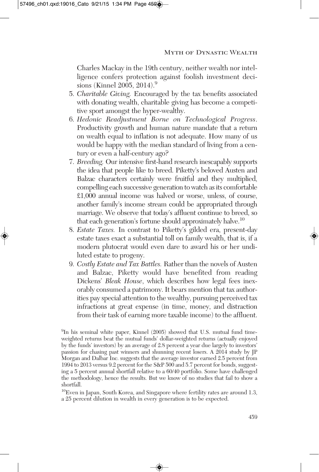Charles Mackay in the 19th century, neither wealth nor intelligence confers protection against foolish investment decisions (Kinnel 2005, 2014). 9

- 5. *Charitable Giving.* Encouraged by the tax benefits associated with donating wealth, charitable giving has become a competitive sport amongst the hyper-wealthy.
- 6. *Hedonic Readjustment Borne on Technological Progress*. Productivity growth and human nature mandate that a return on wealth equal to inflation is not adequate. How many of us would be happy with the median standard of living from a century or even a half-century ago?
- 7. *Breeding.* Our intensive first-hand research inescapably supports the idea that people like to breed. Piketty's beloved Austen and Balzac characters certainly were fruitful and they multiplied, compelling each successive generation to watch as its comfortable £1,000 annual income was halved or worse, unless, of course, another family's income stream could be appropriated through marriage. We observe that today's affluent continue to breed, so that each generation's fortune should approximately halve.<sup>10</sup>
- 8. *Estate Taxes.* In contrast to Piketty's gilded era, present-day estate taxes exact a substantial toll on family wealth, that is, if a modern plutocrat would even dare to award his or her undiluted estate to progeny.
- 9. *Costly Estate and Tax Battles.* Rather than the novels of Austen and Balzac, Piketty would have benefited from reading Dickens' *Bleak House*, which describes how legal fees inexorably consumed a patrimony. It bears mention that tax authorities pay special attention to the wealthy, pursuing perceived tax infractions at great expense (in time, money, and distraction from their task of earning more taxable income) to the affluent.

10 Even in Japan, South Korea, and Singapore where fertility rates are around 1.3, a 25 percent dilution in wealth in every generation is to be expected.

<sup>9</sup> In his seminal white paper, Kinnel (2005) showed that U.S. mutual fund timeweighted returns beat the mutual funds' dollar-weighted returns (actually enjoyed by the funds' investors) by an average of 2.8 percent a year due largely to investors' passion for chasing past winners and shunning recent losers. A 2014 study by JP Morgan and Dalbar Inc. suggests that the average investor earned 2.5 percent from 1994 to 2013 versus 9.2 percent for the S&P 500 and 5.7 percent for bonds, suggesting a 5 percent annual shortfall relative to a 60/40 portfolio. Some have challenged the methodology, hence the results. But we know of no studies that fail to show a shortfall.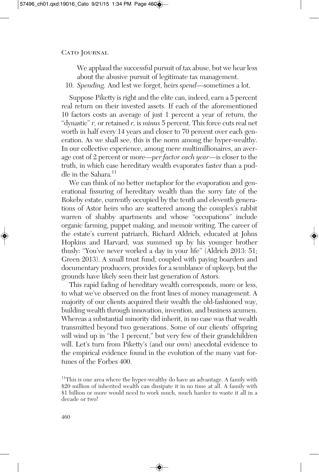We applaud the successful pursuit of tax abuse, but we hear less about the abusive pursuit of legitimate tax management.

10. *Spending.* And lest we forget, heirs *spend—*sometimes a lot.

Suppose Piketty is right and the elite can, indeed, earn a 5 percent real return on their invested assets. If each of the aforementioned 10 factors costs an average of just 1 percent a year of return, the "dynastic" *r,* or retained *r,* is *minus* 5 percent. This force cuts real net worth in half every 14 years and closer to 70 percent over each generation. As we shall see, this is the norm among the hyper-wealthy. In our collective experience, among mere multimillionaires, an average cost of 2 percent or more—*per factor each year*—is closer to the truth, in which case hereditary wealth evaporates faster than a puddle in the Sahara. 11

We can think of no better metaphor for the evaporation and generational fissuring of hereditary wealth than the sorry fate of the Rokeby estate, currently occupied by the tenth and eleventh generations of Astor heirs who are scattered among the complex's rabbit warren of shabby apartments and whose "occupations" include organic farming, puppet making, and memoir writing. The career of the estate's current patriarch, Richard Aldrich, educated at Johns Hopkins and Harvard, was summed up by his younger brother thusly: "You've never worked a day in your life" (Aldrich 2013: 51; Green 2013). A small trust fund, coupled with paying boarders and documentary producers, provides for a semblance of upkeep, but the grounds have likely seen their last generation of Astors.

This rapid fading of hereditary wealth corresponds, more or less, to what we've observed on the front lines of money management. A majority of our clients acquired their wealth the old-fashioned way, building wealth through innovation, invention, and business acumen. Whereas a substantial minority did inherit, in no case was that wealth transmitted beyond two generations. Some of our clients' offspring will wind up in "the 1 percent," but very few of their grandchildren will. Let's turn from Piketty's (and our own) anecdotal evidence to the empirical evidence found in the evolution of the many vast fortunes of the Forbes 400.

<sup>&</sup>lt;sup>11</sup>This is one area where the hyper-wealthy do have an advantage. A family with \$20 million of inherited wealth can dissipate it in no time at all. A family with \$1 billion or more would need to work much, much harder to waste it all in a decade or two!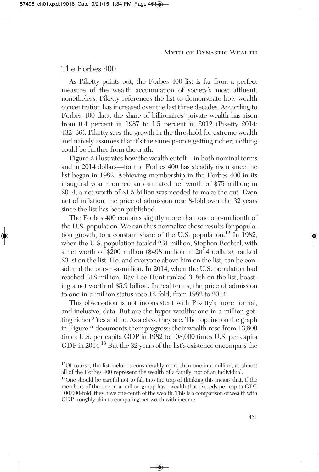The Forbes 400

As Piketty points out, the Forbes 400 list is far from a perfect measure of the wealth accumulation of society's most affluent; nonetheless, Piketty references the list to demonstrate how wealth concentration has increased over the last three decades. According to Forbes 400 data, the share of billionaires' private wealth has risen from 0.4 percent in 1987 to 1.5 percent in 2012 (Piketty 2014: 432–36). Piketty sees the growth in the threshold for extreme wealth and naively assumes that it's the same people getting richer; nothing could be further from the truth.

Figure 2 illustrates how the wealth cutoff—in both nominal terms and in 2014 dollars—for the Forbes 400 has steadily risen since the list began in 1982. Achieving membership in the Forbes 400 in its inaugural year required an estimated net worth of \$75 million; in 2014, a net worth of \$1.5 billion was needed to make the cut. Even net of inflation, the price of admission rose 8-fold over the 32 years since the list has been published.

The Forbes 400 contains slightly more than one one-millionth of the U.S. population. We can thus normalize these results for population growth, to a constant share of the U.S. population.<sup>12</sup> In 1982, when the U.S. population totaled 231 million, Stephen Bechtel, with a net worth of \$200 million (\$498 million in 2014 dollars), ranked 231st on the list. He, and everyone above him on the list, can be considered the one-in-a-million. In 2014, when the U.S. population had reached 318 million, Ray Lee Hunt ranked 318th on the list, boasting a net worth of \$5.9 billion. In real terms, the price of admission to one-in-a-million status rose 12-fold, from 1982 to 2014.

This observation is not inconsistent with Piketty's more formal, and inclusive, data. But are the hyper-wealthy one-in-a-million getting richer? Yes and no. As a class, they are. The top line on the graph in Figure 2 documents their progress: their wealth rose from 13,800 times U.S. per capita GDP in 1982 to 108,000 times U.S. per capita GDP in 2014. <sup>13</sup> But the 32 years of the list's existence encompass the

<sup>&</sup>lt;sup>12</sup>Of course, the list includes considerably more than one in a million, as almost all of the Forbes 400 represent the wealth of a family, not of an individual.

<sup>&</sup>lt;sup>13</sup>One should be careful not to fall into the trap of thinking this means that, if the members of the one-in-a-million group have wealth that exceeds per capita GDP 100,000-fold, they have one-tenth of the wealth. This is a comparison of wealth with GDP, roughly akin to comparing net worth with income.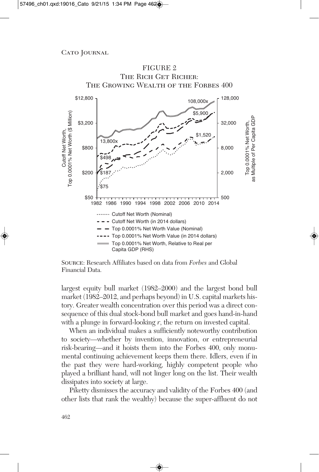

Source: Research Affiliates based on data from *Forbes* and Global Financial Data.

largest equity bull market (1982–2000) and the largest bond bull market (1982–2012, and perhaps beyond) in U.S. capital markets history. Greater wealth concentration over this period was a direct consequence of this dual stock-bond bull market and goes hand-in-hand with a plunge in forward-looking *r*, the return on invested capital.

When an individual makes a sufficiently noteworthy contribution to society—whether by invention, innovation, or entrepreneurial risk-bearing—and it hoists them into the Forbes 400, only monumental continuing achievement keeps them there. Idlers, even if in the past they were hard-working, highly competent people who played a brilliant hand, will not linger long on the list. Their wealth dissipates into society at large.

Piketty dismisses the accuracy and validity of the Forbes 400 (and other lists that rank the wealthy) because the super-affluent do not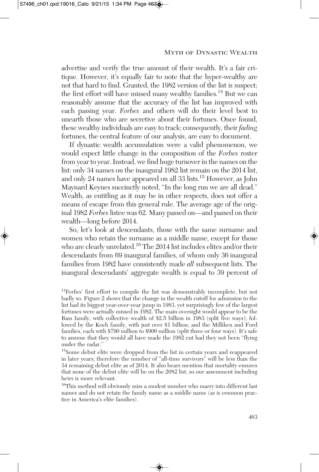advertise and verify the true amount of their wealth. It's a fair critique. However, it's equally fair to note that the hyper-wealthy are not that hard to find. Granted, the 1982 version of the list is suspect; the first effort will have missed many wealthy families.<sup>14</sup> But we can reasonably assume that the accuracy of the list has improved with each passing year. *Forbes* and others will do their level best to unearth those who are secretive about their fortunes. Once found, these wealthy individuals are easy to track; consequently, their *fading* fortunes, the central feature of our analysis, are easy to document.

If dynastic wealth accumulation were a valid phenomenon, we would expect little change in the composition of the *Forbes* roster from year to year.Instead, we find huge turnover in the names on the list: only 34 names on the inaugural 1982 list remain on the 2014 list, and only 24 names have appeared on all 33 lists. <sup>15</sup> However, as John Maynard Keynes succinctly noted, "In the long run we are all dead." Wealth, as entitling as it may be in other respects, does not offer a means of escape from this general rule. The average age of the original 1982 *Forbes* listee was 62. Many passed on—and passed on their wealth—long before 2014.

So, let's look at descendants, those with the same surname and women who retain the surname as a middle name, except for those who are clearly unrelated. <sup>16</sup> The 2014 list includes elites and/or their descendants from 69 inaugural families, of whom only 36 inaugural families from 1982 have consistently made *all* subsequent lists. The inaugural descendants' aggregate wealth is equal to 39 percent of

<sup>14</sup> *Forbes*' first effort to compile the list was demonstrably incomplete, but not badly so. Figure 2 shows that the change in the wealth cutoff for admission to the list had its biggest year-over-year jump in 1983, yet surprisingly few of the largest fortunes were actually missed in 1982. The main oversight would appear to be the Bass family, with collective wealth of \$2.5 billion in 1983 (split five ways); followed by the Koch family, with just over \$1 billion; and the Milliken and Ford families, each with \$790 million to \$900 million (split three or four ways). It's safe to assume that they would all have made the 1982 cut had they not been "flying under the radar."

<sup>&</sup>lt;sup>15</sup> Some debut elite were dropped from the list in certain years and reappeared in later years; therefore the number of "all-time survivors" will be less than the 34 remaining debut elite as of 2014. It also bears mention that mortality ensures that none of the debut elite will be on the 2082 list, so our assessment including heirs is more relevant.

<sup>&</sup>lt;sup>16</sup>This method will obviously miss a modest number who marry into different last names and do not retain the family name as a middle name (as is common practice in America's elite families).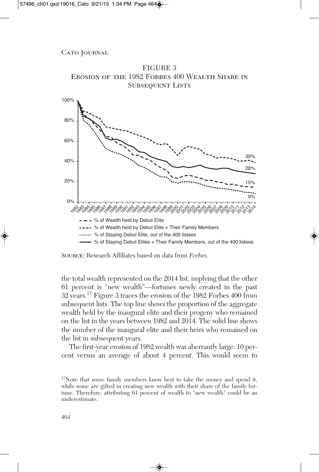

FIGURE 3

the total wealth represented on the 2014 list, implying that the other 61 percent is "new wealth"—fortunes newly created in the past 32 years. <sup>17</sup> Figure 3 traces the erosion of the 1982 Forbes 400 from subsequent lists. The top line shows the proportion of the aggregate wealth held by the inaugural elite and their progeny who remained on the list in the years between 1982 and 2014. The solid line shows the number of the inaugural elite and their heirs who remained on the list in subsequent years.

The first-year erosion of 1982 wealth was aberrantly large: 10 percent versus an average of about 4 percent. This would seem to

Source: Research Affiliates based on data from *Forbes*.

<sup>&</sup>lt;sup>17</sup>Note that some family members know best to take the money and spend it, while some are gifted in creating new wealth with their share of the family fortune. Therefore, attributing 61 percent of wealth to "new wealth" could be an underestimate.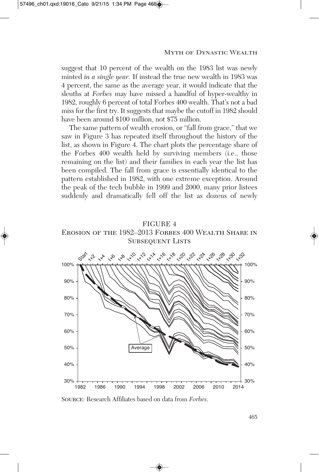suggest that 10 percent of the wealth on the 1983 list was newly minted *in a single year.* If instead the true new wealth in 1983 was 4 percent, the same as the average year, it would indicate that the sleuths at *Forbes* may have missed a handful of hyper-wealthy in 1982, roughly 6 percent of total Forbes 400 wealth. That's not a bad miss for the first try. It suggests that maybe the cutoff in 1982 should have been around \$100 million, not \$75 million.

The same pattern of wealth erosion, or "fall from grace," that we saw in Figure 3 has repeated itself throughout the history of the list, as shown in Figure 4. The chart plots the percentage share of the Forbes 400 wealth held by surviving members (i.e., those remaining on the list) and their families in each year the list has been compiled. The fall from grace is essentially identical to the pattern established in 1982, with one extreme exception. Around the peak of the tech bubble in 1999 and 2000, many prior listees suddenly and dramatically fell off the list as dozens of newly





Source: Research Affiliates based on data from *Forbes*.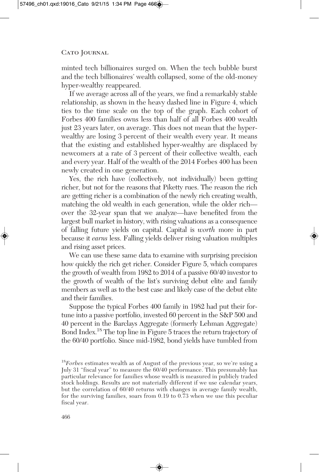minted tech billionaires surged on. When the tech bubble burst and the tech billionaires' wealth collapsed, some of the old-money hyper-wealthy reappeared.

If we average across all of the years, we find a remarkably stable relationship, as shown in the heavy dashed line in Figure 4, which ties to the time scale on the top of the graph. Each cohort of Forbes 400 families owns less than half of all Forbes 400 wealth just 23 years later, on average. This does not mean that the hyperwealthy are losing 3 percent of their wealth every year. It means that the existing and established hyper-wealthy are displaced by newcomers at a rate of 3 percent of their collective wealth, each and every year. Half of the wealth of the 2014 Forbes 400 has been newly created in one generation.

Yes, the rich have (collectively, not individually) been getting richer, but not for the reasons that Piketty rues. The reason the rich are getting richer is a combination of the newly rich creating wealth, matching the old wealth in each generation, while the older rich over the 32-year span that we analyze—have benefited from the largest bull market in history, with rising valuations as a consequence of falling future yields on capital. Capital is *worth* more in part because it *earns* less. Falling yields deliver rising valuation multiples and rising asset prices.

We can use these same data to examine with surprising precision how quickly the rich get richer. Consider Figure 5, which compares the growth of wealth from 1982 to 2014 of a passive 60/40 investor to the growth of wealth of the list's surviving debut elite and family members as well as to the best case and likely case of the debut elite and their families.

Suppose the typical Forbes 400 family in 1982 had put their fortune into a passive portfolio, invested 60 percent in the S&P 500 and 40 percent in the Barclays Aggregate (formerly Lehman Aggregate) Bond Index. <sup>18</sup> The top line in Figure 5 traces the return trajectory of the 60/40 portfolio. Since mid-1982, bond yields have tumbled from

<sup>18</sup> *Forbes* estimates wealth as of August of the previous year, so we're using a July 31 "fiscal year" to measure the 60/40 performance. This presumably has particular relevance for families whose wealth is measured in publicly traded stock holdings. Results are not materially different if we use calendar years, but the correlation of 60/40 returns with changes in average family wealth, for the surviving families, soars from 0.19 to 0.73 when we use this peculiar fiscal year.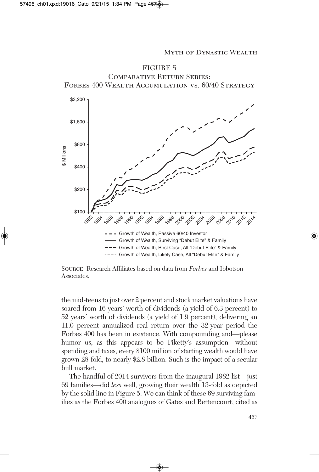

Source: Research Affiliates based on data from *Forbes* and Ibbotson Associates.

the mid-teens to just over 2 percent and stock market valuations have soared from 16 years' worth of dividends (a yield of 6.3 percent) to 52 years' worth of dividends (a yield of 1.9 percent), delivering an 11.0 percent annualized real return over the 32-year period the Forbes 400 has been in existence. With compounding and—please humor us, as this appears to be Piketty's assumption—without spending and taxes, every \$100 million of starting wealth would have grown 28-fold, to nearly \$2.8 billion. Such is the impact of a secular bull market.

The handful of 2014 survivors from the inaugural 1982 list—just 69 families—did *less* well, growing their wealth 13-fold as depicted by the solid line in Figure 5. We can think of these 69 surviving families as the Forbes 400 analogues of Gates and Bettencourt, cited as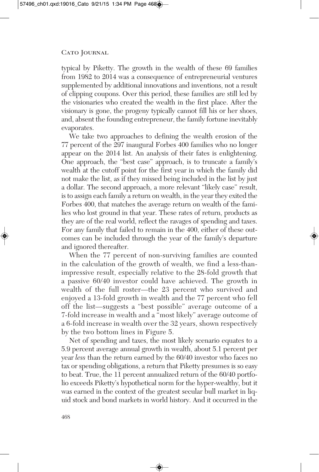typical by Piketty. The growth in the wealth of these 69 families from 1982 to 2014 was a consequence of entrepreneurial ventures supplemented by additional innovations and inventions, not a result of clipping coupons. Over this period, these families are still led by the visionaries who created the wealth in the first place. After the visionary is gone, the progeny typically cannot fill his or her shoes, and, absent the founding entrepreneur, the family fortune inevitably evaporates.

We take two approaches to defining the wealth erosion of the 77 percent of the 297 inaugural Forbes 400 families who no longer appear on the 2014 list. An analysis of their fates is enlightening. One approach, the "best case" approach, is to truncate a family's wealth at the cutoff point for the first year in which the family did not make the list, as if they missed being included in the list by just a dollar. The second approach, a more relevant "likely case" result, is to assign each family a return on wealth, in the year they exited the Forbes 400, that matches the average return on wealth of the families who lost ground in that year. These rates of return, products as they are of the real world, reflect the ravages of spending and taxes. For any family that failed to remain in the 400, either of these outcomes can be included through the year of the family's departure and ignored thereafter.

When the 77 percent of non-surviving families are counted in the calculation of the growth of wealth, we find a less-thanimpressive result, especially relative to the 28-fold growth that a passive 60/40 investor could have achieved. The growth in wealth of the full roster—the 23 percent who survived and enjoyed a 13-fold growth in wealth and the 77 percent who fell off the list—suggests a "best possible" average outcome of a 7-fold increase in wealth and a "most likely" average outcome of a 6-fold increase in wealth over the 32 years, shown respectively by the two bottom lines in Figure 5.

Net of spending and taxes, the most likely scenario equates to a 5.9 percent average annual growth in wealth, about 5.1 percent per year *less* than the return earned by the 60/40 investor who faces no tax or spending obligations, a return that Piketty presumes is so easy to beat. True, the 11 percent annualized return of the 60/40 portfolio exceeds Piketty's hypothetical norm for the hyper-wealthy, but it was earned in the context of the greatest secular bull market in liquid stock and bond markets in world history. And it occurred in the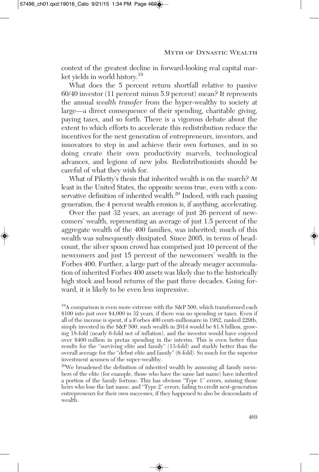context of the greatest decline in forward-looking real capital market yields in world history. 19

What does the 5 percent return shortfall relative to passive 60/40 investor (11 percent minus 5.9 percent) mean? It represents the annual *wealth transfer* from the hyper-wealthy to society at large—a direct consequence of their spending, charitable giving, paying taxes, and so forth. There is a vigorous debate about the extent to which efforts to accelerate this redistribution reduce the incentives for the next generation of entrepreneurs, inventors, and innovators to step in and achieve their own fortunes, and in so doing create their own productivity marvels, technological advances, and legions of new jobs. Redistributionists should be careful of what they wish for.

What of Piketty's thesis that inherited wealth is on the march? At least in the United States, the opposite seems true, even with a conservative definition of inherited wealth.<sup>20</sup> Indeed, with each passing generation, the 4 percent wealth erosion is, if anything, accelerating.

Over the past 32 years, an average of just 26 percent of newcomers' wealth, representing an average of just 1.5 percent of the aggregate wealth of the 400 families, was inherited; much of this wealth was subsequently dissipated. Since 2005, in terms of headcount, the silver spoon crowd has comprised just 10 percent of the newcomers and just 15 percent of the newcomers' wealth in the Forbes 400. Further, a large part of the already meager accumulation of inherited Forbes 400 assets was likely due to the historically high stock and bond returns of the past three decades. Going forward, it is likely to be even less impressive.

<sup>19</sup>A comparison is even more extreme with the S&P 500, which transformed each \$100 into just over \$4,000 in 32 years, if there was no spending or taxes. Even if all of the income is spent, if a Forbes 400 centi-millionaire in 1982, ranked 229th, simply invested in the S&P 500, such wealth in 2014 would be \$1.8 billion, growing 18-fold (nearly 6-fold net of inflation), and the investor would have enjoyed over \$400 million in pretax spending in the interim. This is even better than results for the "surviving elite and family" (13-fold) and starkly better than the overall average for the "debut elite and family" (6-fold). So much for the superior investment acumen of the super-wealthy.

<sup>20</sup>We broadened the definition of inherited wealth by assuming all family members of the elite (for example, those who have the same last name) have inherited a portion of the family fortune. This has obvious "Type 1" errors, missing those heirs who lose the last name, and "Type 2" errors, failing to credit next-generation entrepreneurs for their own successes, if they happened to also be descendants of wealth.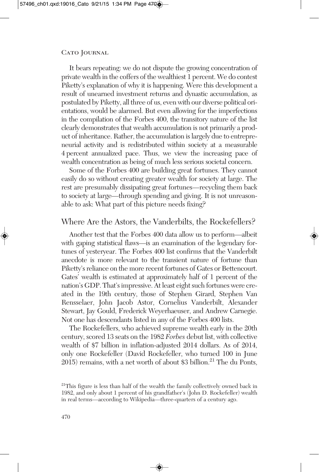It bears repeating: we do not dispute the growing concentration of private wealth in the coffers of the wealthiest 1 percent. We do contest Piketty's explanation of why it is happening. Were this development a result of unearned investment returns and dynastic accumulation, as postulated by Piketty, all three of us, even with our diverse political orientations, would be alarmed. But even allowing for the imperfections in the compilation of the Forbes 400, the transitory nature of the list clearly demonstrates that wealth accumulation is not primarily a product of inheritance. Rather, the accumulation islargely due to entrepreneurial activity and is redistributed within society at a measurable 4 percent annualized pace. Thus, we view the increasing pace of wealth concentration as being of much less serious societal concern.

Some of the Forbes 400 are building great fortunes. They cannot easily do so without creating greater wealth for society at large. The rest are presumably dissipating great fortunes—recycling them back to society at large—through spending and giving. It is not unreasonable to ask: What part of this picture needs fixing?

### Where Are the Astors, the Vanderbilts, the Rockefellers?

Another test that the Forbes 400 data allow us to perform—albeit with gaping statistical flaws—is an examination of the legendary fortunes of yesteryear. The Forbes 400 list confirms that the Vanderbilt anecdote is more relevant to the transient nature of fortune than Piketty's reliance on the more recent fortunes of Gates or Bettencourt. Gates' wealth is estimated at approximately half of 1 percent of the nation's GDP. That's impressive. At least eight such fortunes were created in the 19th century, those of Stephen Girard, Stephen Van Rensselaer, John Jacob Astor, Cornelius Vanderbilt, Alexander Stewart, Jay Gould, Frederick Weyerhaeuser, and Andrew Carnegie. Not one has descendants listed in any of the Forbes 400 lists.

The Rockefellers, who achieved supreme wealth early in the 20th century, scored 13 seats on the 1982 *Forbes* debut list, with collective wealth of \$7 billion in inflation-adjusted 2014 dollars. As of 2014, only one Rockefeller (David Rockefeller, who turned 100 in June 2015) remains, with a net worth of about \$3 billion. <sup>21</sup> The du Ponts,

<sup>&</sup>lt;sup>21</sup>This figure is less than half of the wealth the family collectively owned back in 1982, and only about 1 percent of his grandfather's (John D. Rockefeller) wealth in real terms—according to Wikipedia—three-quarters of a century ago.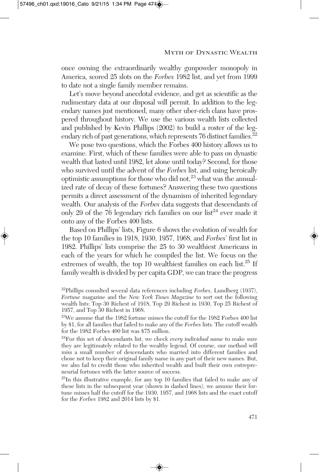once owning the extraordinarily wealthy gunpowder monopoly in America, scored 25 slots on the *Forbes* 1982 list, and yet from 1999 to date not a single family member remains.

Let's move beyond anecdotal evidence, and get as scientific as the rudimentary data at our disposal will permit. In addition to the legendary names just mentioned, many other uber-rich clans have prospered throughout history. We use the various wealth lists collected and published by Kevin Phillips (2002) to build a roster of the legendary rich of past generations, which represents 76 distinct families.<sup>22</sup>

We pose two questions, which the Forbes 400 history allows us to examine. First, which of these families were able to pass on dynastic wealth that lasted until 1982, let alone until today? Second, for those who survived until the advent of the *Forbes* list, and using heroically optimistic assumptions for those who did not, <sup>23</sup> what was the annualized rate of decay of these fortunes? Answering these two questions permits a direct assessment of the dynamism of inherited legendary wealth. Our analysis of the *Forbes* data suggests that descendants of only 29 of the 76 legendary rich families on our list <sup>24</sup> ever made it onto any of the Forbes 400 lists.

Based on Phillips' lists, Figure 6 shows the evolution of wealth for the top 10 families in 1918, 1930, 1957, 1968, and *Forbes*' first list in 1982. Phillips' lists comprise the 25 to 30 wealthiest Americans in each of the years for which he compiled the list. We focus on the extremes of wealth, the top 10 wealthiest families on each list.<sup>25</sup> If family wealth is divided by per capita GDP, we can trace the progress

22 Phillips consulted several data references including *Forbes*, Lundberg (1937), *Fortune* magazine and the *New York Times Magazine* to sort out the following wealth lists: Top 30 Richest of 1918, Top 29 Richest in 1930, Top 25 Richest of 1957, and Top 30 Richest in 1968.

 $2^{23}$ We assume that the 1982 fortune misses the cutoff for the 1982 Forbes 400 list by \$1, for all families that failed to make any of the *Forbes* lists. The cutoff wealth for the 1982 Forbes 400 list was \$75 million.

24 For this set of descendants list, we check *every individual name* to make sure they are legitimately related to the wealthy legend. Of course, our method will miss a small number of descendants who married into different families and chose not to keep their original family name in any part of their new names. But, we also fail to credit those who inherited wealth and built their own entrepreneurial fortunes with the latter source of success.

<sup>25</sup>In this illustrative example, for any top 10 families that failed to make any of these lists in the subsequent year (shown in dashed lines), we assume their fortune misses half the cutoff for the 1930, 1957, and 1968 lists and the exact cutoff for the *Forbes* 1982 and 2014 lists by \$1.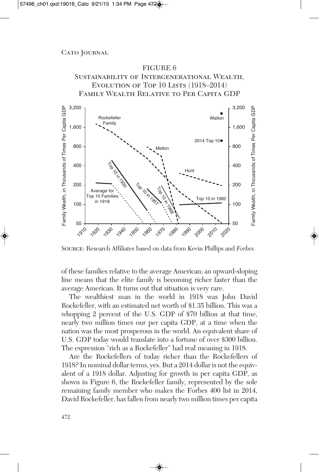### FIGURE 6 Sustainability of Intergenerational Wealth, EVOLUTION OF TOP  $10$  LISTS  $(1918-2014)$ Family Wealth Relative to Per Capita GDP



Source: Research Affiliates based on data from Kevin Phillips and *Forbes*.

of these families relative to the average American; an upward-sloping line means that the elite family is becoming richer faster than the average American. It turns out that situation is very rare.

The wealthiest man in the world in 1918 was John David Rockefeller, with an estimated net worth of \$1.35 billion. This was a whopping 2 percent of the U.S. GDP of \$70 billion at that time, nearly two million times our per capita GDP, at a time when the nation was the most prosperous in the world. An equivalent share of U.S. GDP today would translate into a fortune of over \$300 billion. The expression "rich as a Rockefeller" had real meaning in 1918.

Are the Rockefellers of today richer than the Rockefellers of 1918? In nominal dollar terms, yes. But a 2014 dollar is not the equivalent of a 1918 dollar. Adjusting for growth in per capita GDP, as shown in Figure 6, the Rockefeller family, represented by the sole remaining family member who makes the Forbes 400 list in 2014, David Rockefeller, has fallen from nearly two million times per capita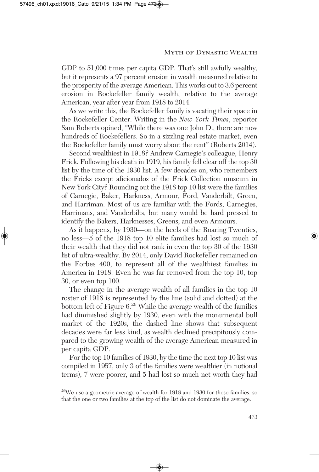GDP to 51,000 times per capita GDP. That's still awfully wealthy, but it represents a 97 percent erosion in wealth measured relative to the prosperity of the average American. This works out to 3.6 percent erosion in Rockefeller family wealth, relative to the average American, year after year from 1918 to 2014.

As we write this, the Rockefeller family is vacating their space in the Rockefeller Center. Writing in the *New York Times*, reporter Sam Roberts opined, "While there was one John D., there are now hundreds of Rockefellers. So in a sizzling real estate market, even the Rockefeller family must worry about the rent" (Roberts 2014).

Second wealthiest in 1918? Andrew Carnegie's colleague, Henry Frick. Following his death in 1919, his family fell clear off the top 30 list by the time of the 1930 list. A few decades on, who remembers the Fricks except aficionados of the Frick Collection museum in New York City? Rounding out the 1918 top 10 list were the families of Carnegie, Baker, Harkness, Armour, Ford, Vanderbilt, Green, and Harriman. Most of us are familiar with the Fords, Carnegies, Harrimans, and Vanderbilts, but many would be hard pressed to identify the Bakers, Harknesses, Greens, and even Armours.

As it happens, by 1930—on the heels of the Roaring Twenties, no less—5 of the 1918 top 10 elite families had lost so much of their wealth that they did not rank in even the top 30 of the 1930 list of ultra-wealthy. By 2014, only David Rockefeller remained on the Forbes 400, to represent all of the wealthiest families in America in 1918. Even he was far removed from the top 10, top 30, or even top 100.

The change in the average wealth of all families in the top 10 roster of 1918 is represented by the line (solid and dotted) at the bottom left of Figure 6.<sup>26</sup> While the average wealth of the families had diminished slightly by 1930, even with the monumental bull market of the 1920s, the dashed line shows that subsequent decades were far less kind, as wealth declined precipitously compared to the growing wealth of the average American measured in per capita GDP.

For the top 10 families of 1930, by the time the next top 10 list was compiled in 1957, only 3 of the families were wealthier (in notional terms), 7 were poorer, and 5 had lost so much net worth they had

<sup>&</sup>lt;sup>26</sup>We use a geometric average of wealth for 1918 and 1930 for these families, so that the one or two families at the top of the list do not dominate the average.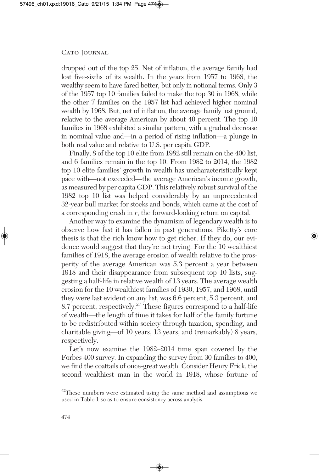dropped out of the top 25. Net of inflation, the average family had lost five-sixths of its wealth. In the years from 1957 to 1968, the wealthy seem to have fared better, but only in notional terms. Only 3 of the 1957 top 10 families failed to make the top 30 in 1968, while the other 7 families on the 1957 list had achieved higher nominal wealth by 1968. But, net of inflation, the average family lost ground, relative to the average American by about 40 percent. The top 10 families in 1968 exhibited a similar pattern, with a gradual decrease in nominal value and—in a period of rising inflation—a plunge in both real value and relative to U.S. per capita GDP.

Finally, 8 of the top 10 elite from 1982 still remain on the 400 list, and 6 families remain in the top 10. From 1982 to 2014, the 1982 top 10 elite families' growth in wealth has uncharacteristically kept pace with—not exceeded—the average American's income growth, as measured by per capita GDP. This relatively robust survival of the 1982 top 10 list was helped considerably by an unprecedented 32-year bull market for stocks and bonds, which came at the cost of a corresponding crash in *r*, the forward-looking return on capital.

Another way to examine the dynamism of legendary wealth is to observe how fast it has fallen in past generations. Piketty's core thesis is that the rich know how to get richer. If they do, our evidence would suggest that they're not trying. For the 10 wealthiest families of 1918, the average erosion of wealth relative to the prosperity of the average American was 5.3 percent a year between 1918 and their disappearance from subsequent top 10 lists, suggesting a half-life in relative wealth of 13 years. The average wealth erosion for the 10 wealthiest families of 1930, 1957, and 1968, until they were last evident on any list, was 6.6 percent, 5.3 percent, and 8.7 percent, respectively.<sup>27</sup> These figures correspond to a half-life of wealth—the length of time it takes for half of the family fortune to be redistributed within society through taxation, spending, and charitable giving—of 10 years, 13 years, and (remarkably) 8 years, respectively.

Let's now examine the 1982–2014 time span covered by the Forbes 400 survey. In expanding the survey from 30 families to 400, we find the coattails of once-great wealth. Consider Henry Frick, the second wealthiest man in the world in 1918, whose fortune of

<sup>&</sup>lt;sup>27</sup>These numbers were estimated using the same method and assumptions we used in Table 1 so as to ensure consistency across analysis.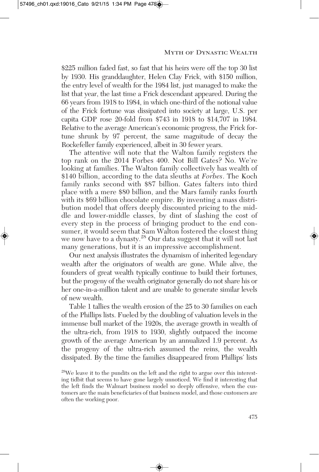\$225 million faded fast, so fast that his heirs were off the top 30 list by 1930. His granddaughter, Helen Clay Frick, with \$150 million, the entry level of wealth for the 1984 list, just managed to make the list that year, the last time a Frick descendant appeared. During the 66 years from 1918 to 1984, in which one-third of the notional value of the Frick fortune was dissipated into society at large, U.S. per capita GDP rose 20-fold from \$743 in 1918 to \$14,707 in 1984. Relative to the average American's economic progress, the Frick fortune shrunk by 97 percent, the same magnitude of decay the Rockefeller family experienced, albeit in 30 fewer years.

The attentive will note that the Walton family registers the top rank on the 2014 Forbes 400. Not Bill Gates? No. We're looking at families. The Walton family collectively has wealth of \$140 billion, according to the data sleuths at *Forbes*. The Koch family ranks second with \$87 billion. Gates falters into third place with a mere \$80 billion, and the Mars family ranks fourth with its \$69 billion chocolate empire. By inventing a mass distribution model that offers deeply discounted pricing to the middle and lower-middle classes, by dint of slashing the cost of every step in the process of bringing product to the end consumer, it would seem that Sam Walton fostered the closest thing we now have to a dynasty. <sup>28</sup> Our data suggest that it will not last many generations, but it is an impressive accomplishment.

Our next analysis illustrates the dynamism of inherited legendary wealth after the originators of wealth are gone. While alive, the founders of great wealth typically continue to build their fortunes, but the progeny of the wealth originator generally do not share his or her one-in-a-million talent and are unable to generate similar levels of new wealth.

Table 1 tallies the wealth erosion of the 25 to 30 families on each of the Phillips lists. Fueled by the doubling of valuation levels in the immense bull market of the 1920s, the average growth in wealth of the ultra-rich, from 1918 to 1930, slightly outpaced the income growth of the average American by an annualized 1.9 percent. As the progeny of the ultra-rich assumed the reins, the wealth dissipated. By the time the families disappeared from Phillips' lists

<sup>&</sup>lt;sup>28</sup>We leave it to the pundits on the left and the right to argue over this interesting tidbit that seems to have gone largely unnoticed. We find it interesting that the left finds the Walmart business model so deeply offensive, when the customers are the main beneficiaries of that business model, and those customers are often the working poor.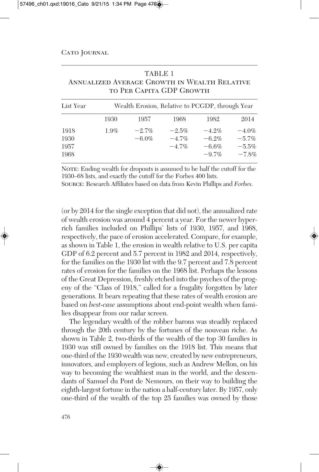| <b>ANNUALIZED AVERAGE GROWTH IN WEALTH RELATIVE</b><br>TO PER CAPITA GDP GROWTH |                                                 |          |          |          |          |  |  |  |  |
|---------------------------------------------------------------------------------|-------------------------------------------------|----------|----------|----------|----------|--|--|--|--|
| List Year                                                                       | Wealth Erosion, Relative to PCGDP, through Year |          |          |          |          |  |  |  |  |
|                                                                                 | 1930                                            | 1957     | 1968     | 1982     | 2014     |  |  |  |  |
| 1918                                                                            | 1.9%                                            | $-2.7%$  | $-2.5%$  | $-4.2%$  | $-4.0\%$ |  |  |  |  |
| 1930                                                                            |                                                 | $-6.0\%$ | $-4.7\%$ | $-6.2%$  | $-5.7\%$ |  |  |  |  |
| 1957                                                                            |                                                 |          | $-4.7\%$ | $-6.6\%$ | $-5.5\%$ |  |  |  |  |
| 1968                                                                            |                                                 |          |          | $-9.7\%$ | $-7.8%$  |  |  |  |  |

TABLE 1

NOTE: Ending wealth for dropouts is assumed to be half the cutoff for the 1930–68 lists, and exactly the cutoff for the Forbes 400 lists.

Source: Research Affiliates based on data from Kevin Phillips and *Forbes*.

(or by 2014 for the single exception that did not), the annualized rate of wealth erosion was around 4 percent a year. For the newer hyperrich families included on Phillips' lists of 1930, 1957, and 1968, respectively, the pace of erosion accelerated. Compare, for example, as shown in Table 1, the erosion in wealth relative to U.S. per capita GDP of 6.2 percent and 5.7 percent in 1982 and 2014, respectively, for the families on the 1930 list with the 9.7 percent and 7.8 percent rates of erosion for the families on the 1968 list. Perhaps the lessons of the Great Depression, freshly etched into the psyches of the progeny of the "Class of 1918," called for a frugality forgotten by later generations. It bears repeating that these rates of wealth erosion are based on *best-case* assumptions about end-point wealth when families disappear from our radar screen.

The legendary wealth of the robber barons was steadily replaced through the 20th century by the fortunes of the nouveau riche. As shown in Table 2, two-thirds of the wealth of the top 30 families in 1930 was still owned by families on the 1918 list. This means that one-third of the 1930 wealth was new, created by new entrepreneurs, innovators, and employers of legions, such as Andrew Mellon, on his way to becoming the wealthiest man in the world, and the descendants of Samuel du Pont de Nemours, on their way to building the eighth-largest fortune in the nation a half-century later. By 1957, only one-third of the wealth of the top 25 families was owned by those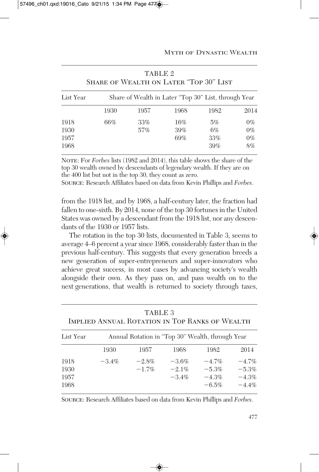| SHARE OF WEALTH ON LATER "TOP 30" LIST |                                                      |        |      |       |       |  |  |
|----------------------------------------|------------------------------------------------------|--------|------|-------|-------|--|--|
| List Year                              | Share of Wealth in Later "Top 30" List, through Year |        |      |       |       |  |  |
|                                        | 1930                                                 | 1957   | 1968 | 1982  | 2014  |  |  |
| 1918                                   | 66%                                                  | 33%    | 16%  | 5%    | $0\%$ |  |  |
| 1930                                   |                                                      | $57\%$ | 39%  | $6\%$ | $0\%$ |  |  |
| 1957                                   |                                                      |        | 69%  | 33%   | $0\%$ |  |  |
| 1968                                   |                                                      |        |      | 39%   | 8%    |  |  |

TABLE 2 Share of Wealth on Later "Top 30" List

Note: For *Forbes* lists (1982 and 2014), this table shows the share of the top 30 wealth owned by descendants of legendary wealth. If they are on the 400 list but not in the top 30, they count as zero.

Source: Research Affiliates based on data from Kevin Phillips and *Forbes*.

from the 1918 list, and by 1968, a half-century later, the fraction had fallen to one-sixth. By 2014, none of the top 30 fortunes in the United States was owned by a descendant from the 1918 list, nor any descendants of the 1930 or 1957 lists.

The rotation in the top 30 lists, documented in Table 3, seems to average 4–6 percent a year since 1968, considerably faster than in the previous half-century. This suggests that every generation breeds a new generation of super-entrepreneurs and super-innovators who achieve great success, in most cases by advancing society's wealth alongside their own. As they pass on, and pass wealth on to the next generations, that wealth is returned to society through taxes,

| TABLE 3<br>IMPLIED ANNUAL ROTATION IN TOP RANKS OF WEALTH |                                                  |         |          |          |          |  |  |  |
|-----------------------------------------------------------|--------------------------------------------------|---------|----------|----------|----------|--|--|--|
| List Year                                                 | Annual Rotation in "Top 30" Wealth, through Year |         |          |          |          |  |  |  |
|                                                           | 1930                                             | 1957    | 1968     | 1982     | 2014     |  |  |  |
| 1918                                                      | $-3.4\%$                                         | $-2.8%$ | $-3.6%$  | $-4.7\%$ | $-4.7\%$ |  |  |  |
| 1930                                                      |                                                  | $-1.7%$ | $-2.1%$  | $-5.3%$  | $-5.3%$  |  |  |  |
| 1957                                                      |                                                  |         | $-3.4\%$ | $-4.3%$  | $-4.3%$  |  |  |  |
| 1968                                                      |                                                  |         |          | $-6.5\%$ | $-4.4\%$ |  |  |  |

Source: Research Affiliates based on data from Kevin Phillips and *Forbes*.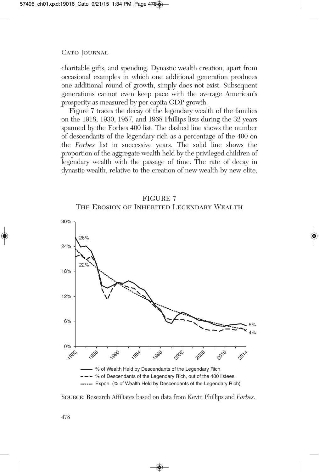charitable gifts, and spending. Dynastic wealth creation, apart from occasional examples in which one additional generation produces one additional round of growth, simply does not exist. Subsequent generations cannot even keep pace with the average American's prosperity as measured by per capita GDP growth.

Figure 7 traces the decay of the legendary wealth of the families on the 1918, 1930, 1957, and 1968 Phillips lists during the 32 years spanned by the Forbes 400 list. The dashed line shows the number of descendants of the legendary rich as a percentage of the 400 on the *Forbes* list in successive years. The solid line shows the proportion of the aggregate wealth held by the privileged children of legendary wealth with the passage of time. The rate of decay in dynastic wealth, relative to the creation of new wealth by new elite,





Source: Research Affiliates based on data from Kevin Phillips and *Forbes*.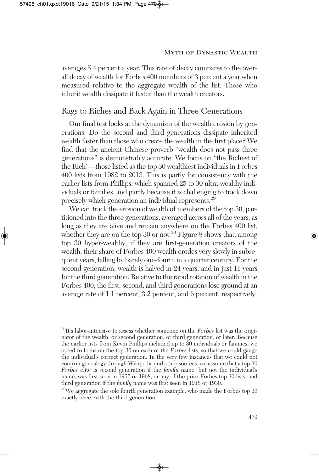averages 5.4 percent a year. This rate of decay compares to the overall decay of wealth for Forbes 400 members of 3 percent a year when measured relative to the aggregate wealth of the list. Those who inherit wealth dissipate it faster than the wealth creators.

# Rags to Riches and Back Again in Three Generations

Our final test looks at the dynamism of the wealth erosion by generations. Do the second and third generations dissipate inherited wealth faster than those who create the wealth in the first place? We find that the ancient Chinese proverb "wealth does not pass three generations" is demonstrably accurate. We focus on "the Richest of the Rich"—those listed as the top 30 wealthiest individuals in Forbes 400 lists from 1982 to 2013. This is partly for consistency with the earlier lists from Phillips, which spanned 25 to 30 ultra-wealthy individuals or families, and partly because it is challenging to track down precisely which generation an individual represents.<sup>29</sup>

We can track the erosion of wealth of members of the top 30, partitioned into the three generations, averaged across all of the years, as long as they are alive and remain anywhere on the Forbes 400 list, whether they are on the top 30 or not.<sup>30</sup> Figure 8 shows that, among top 30 hyper-wealthy, if they are first-generation creators of the wealth, their share of Forbes 400 wealth erodes very slowly in subsequent years, falling by barely one-fourth in a quarter century. For the second generation, wealth is halved in 24 years, and in just 11 years forthe third generation. Relative to the rapid rotation of wealth in the Forbes 400, the first, second, and third generations lose ground at an average rate of 1.1 percent, 3.2 percent, and 6 percent, respectively.

<sup>29</sup> It's labor-intensive to assess whether someone on the *Forbes* list was the originator of the wealth, or second generation, or third generation, or later. Because the earlier lists from Kevin Phillips included up to 30 individuals or families, we opted to focus on the top 30 on each of the *Forbes* lists, so that we could gauge the individual's correct generation. In the very few instances that we could not confirm genealogy through Wikipedia and other sources, we assume that a top 30 *Forbes* elite is second generation if the *family* name, but not the individual's name, was first seen in 1957 or 1968, or any of the prior Forbes top 30 lists, and third generation if the *family* name was first seen in 1918 or 1930.

<sup>&</sup>lt;sup>30</sup>We aggregate the sole fourth generation example, who made the Forbes top 30 exactly once, with the third generation.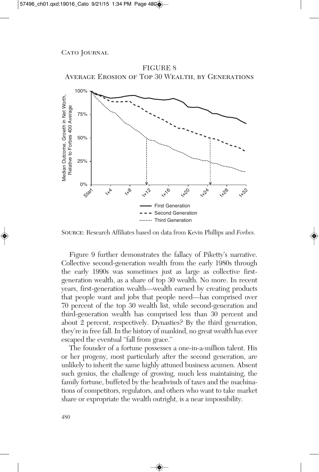

FIGURE 8 Average Erosion of Top 30 Wealth, by Generations

Source: Research Affiliates based on data from Kevin Phillips and *Forbes*.

Figure 9 further demonstrates the fallacy of Piketty's narrative. Collective second-generation wealth from the early 1980s through the early 1990s was sometimes just as large as collective firstgeneration wealth, as a share of top 30 wealth. No more. In recent years, first-generation wealth—wealth earned by creating products that people want and jobs that people need—has comprised over 70 percent of the top 30 wealth list, while second-generation and third-generation wealth has comprised less than 30 percent and about 2 percent, respectively. Dynasties? By the third generation, they're in free fall. In the history of mankind, no great wealth has ever escaped the eventual "fall from grace."

The founder of a fortune possesses a one-in-a-million talent. His or her progeny, most particularly after the second generation, are unlikely to inherit the same highly attuned business acumen. Absent such genius, the challenge of growing, much less maintaining, the family fortune, buffeted by the headwinds of taxes and the machinations of competitors, regulators, and others who want to take market share or expropriate the wealth outright, is a near impossibility.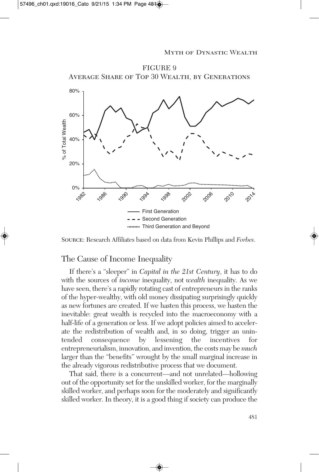

Source: Research Affiliates based on data from Kevin Phillips and *Forbes*.

### The Cause of Income Inequality

If there's a "sleeper" in *Capital in the 21st Century*, it has to do with the sources of *income* inequality, not *wealth* inequality. As we have seen, there's a rapidly rotating cast of entrepreneurs in the ranks of the hyper-wealthy, with old money dissipating surprisingly quickly as new fortunes are created. If we hasten this process, we hasten the inevitable: great wealth is recycled into the macroeconomy with a half-life of a generation or less. If we adopt policies aimed to accelerate the redistribution of wealth and, in so doing, trigger an unintended consequence by lessening the incentives for entrepreneurialism, innovation, and invention, the costs may be *much* larger than the "benefits" wrought by the small marginal increase in the already vigorous redistributive process that we document.

That said, there is a concurrent—and not unrelated—hollowing out of the opportunity set for the unskilled worker, for the marginally skilled worker, and perhaps soon for the moderately and significantly skilled worker. In theory, it is a good thing if society can produce the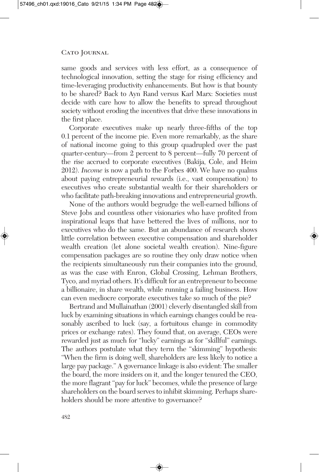same goods and services with less effort, as a consequence of technological innovation, setting the stage for rising efficiency and time-leveraging productivity enhancements. But how is that bounty to be shared? Back to Ayn Rand versus Karl Marx: Societies must decide with care how to allow the benefits to spread throughout society without eroding the incentives that drive these innovations in the first place.

Corporate executives make up nearly three-fifths of the top 0.1 percent of the income pie. Even more remarkably, as the share of national income going to this group quadrupled over the past quarter-century—from 2 percent to 8 percent—fully 70 percent of the rise accrued to corporate executives (Bakija, Cole, and Heim 2012). *Income* is now a path to the Forbes 400. We have no qualms about paying entrepreneurial rewards (i.e., vast compensation) to executives who create substantial wealth for their shareholders or who facilitate path-breaking innovations and entrepreneurial growth.

None of the authors would begrudge the well-earned billions of Steve Jobs and countless other visionaries who have profited from inspirational leaps that have bettered the lives of millions, nor to executives who do the same. But an abundance of research shows little correlation between executive compensation and shareholder wealth creation (let alone societal wealth creation). Nine-figure compensation packages are so routine they only draw notice when the recipients simultaneously run their companies into the ground, as was the case with Enron, Global Crossing, Lehman Brothers, Tyco, and myriad others. It's difficult for an entrepreneur to become a billionaire, in share wealth, while running a failing business. How can even mediocre corporate executives take so much of the pie?

Bertrand and Mullainathan (2001) cleverly disentangled skill from luck by examining situations in which earnings changes could be reasonably ascribed to luck (say, a fortuitous change in commodity prices or exchange rates). They found that, on average, CEOs were rewarded just as much for "lucky" earnings as for "skillful" earnings. The authors postulate what they term the "skimming" hypothesis: "When the firm is doing well, shareholders are less likely to notice a large pay package." A governance linkage is also evident: The smaller the board, the more insiders on it, and the longer tenured the CEO, the more flagrant "pay for luck" becomes, while the presence of large shareholders on the board serves to inhibit skimming. Perhaps shareholders should be more attentive to governance?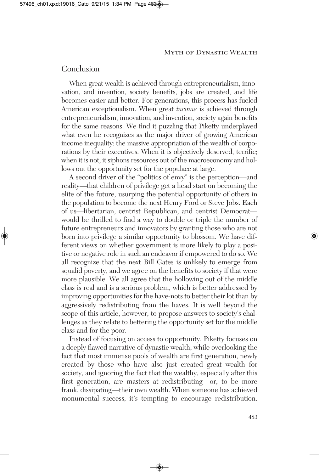### Conclusion

When great wealth is achieved through entrepreneurialism, innovation, and invention, society benefits, jobs are created, and life becomes easier and better. For generations, this process has fueled American exceptionalism. When great *income* is achieved through entrepreneurialism, innovation, and invention, society again benefits for the same reasons. We find it puzzling that Piketty underplayed what even he recognizes as the major driver of growing American income inequality: the massive appropriation of the wealth of corporations by their executives. When it is objectively deserved, terrific; when it is not, it siphons resources out of the macroeconomy and hollows out the opportunity set for the populace at large.

A second driver of the "politics of envy" is the perception—and reality—that children of privilege get a head start on becoming the elite of the future, usurping the potential opportunity of others in the population to become the next Henry Ford or Steve Jobs. Each of us—libertarian, centrist Republican, and centrist Democrat would be thrilled to find a way to double or triple the number of future entrepreneurs and innovators by granting those who are not born into privilege a similar opportunity to blossom. We have different views on whether government is more likely to play a positive or negative role in such an endeavor if empowered to do so. We all recognize that the next Bill Gates is unlikely to emerge from squalid poverty, and we agree on the benefits to society if that were more plausible. We all agree that the hollowing out of the middle class is real and is a serious problem, which is better addressed by improving opportunities for the have-nots to better their lot than by aggressively redistributing from the haves. It is well beyond the scope of this article, however, to propose answers to society's challenges as they relate to bettering the opportunity set for the middle class and for the poor.

Instead of focusing on access to opportunity, Piketty focuses on a deeply flawed narrative of dynastic wealth, while overlooking the fact that most immense pools of wealth are first generation, newly created by those who have also just created great wealth for society, and ignoring the fact that the wealthy, especially after this first generation, are masters at redistributing—or, to be more frank, dissipating—their own wealth. When someone has achieved monumental success, it's tempting to encourage redistribution.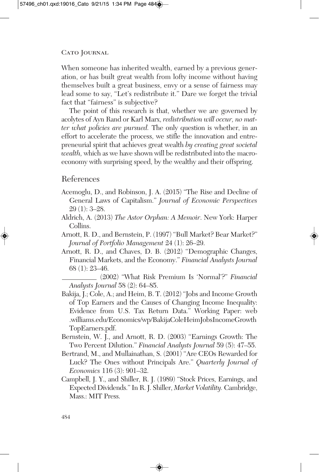When someone has inherited wealth, earned by a previous generation, or has built great wealth from lofty income without having themselves built a great business, envy or a sense of fairness may lead some to say, "Let's redistribute it." Dare we forget the trivial fact that "fairness" is subjective?

The point of this research is that, whether we are governed by acolytes of Ayn Rand or Karl Marx, *redistribution will occur, no matter what policies are pursued.* The only question is whether, in an effort to accelerate the process, we stifle the innovation and entrepreneurial spirit that achieves great wealth *by creating great societal wealth,* which as we have shown will be redistributed into the macroeconomy with surprising speed, by the wealthy and their offspring.

# References

- Acemoglu, D., and Robinson, J. A. (2015) "The Rise and Decline of General Laws of Capitalism." *Journal of Economic Perspectives* 29 (1): 3–28.
- Aldrich, A. (2013) *The Astor Orphan: A Memoir*. New York: Harper Collins.
- Arnott, R. D., and Bernstein, P. (1997) "Bull Market? Bear Market?" *Journal of Portfolio Management* 24 (1): 26–29.
- Arnott, R. D., and Chaves, D. B. (2012) "Demographic Changes, Financial Markets, and the Economy." *Financial Analysts Journal* 68 (1): 23–46.
	- (2002) "What Risk Premium Is 'Normal'?" *Financial Analysts Journal* 58 (2): 64–85.
- Bakija, J.; Cole, A.; and Heim, B. T. (2012) "Jobs and Income Growth of Top Earners and the Causes of Changing Income Inequality: Evidence from U.S. Tax Return Data." Working Paper: web .williams.edu/Economics/wp/BakijaColeHeimJobsIncomeGrowth TopEarners.pdf.
- Bernstein, W. J., and Arnott, R. D. (2003) "Earnings Growth: The Two Percent Dilution." *Financial Analysts Journal* 59 (5): 47–55.
- Bertrand, M., and Mullainathan, S. (2001) "Are CEOs Rewarded for Luck? The Ones without Principals Are." *Quarterly Journal of Economics* 116 (3): 901–32.
- Campbell, J. Y., and Shiller, R. J. (1989) "Stock Prices, Earnings, and Expected Dividends."In R.J. Shiller, *Market Volatility.* Cambridge, Mass.: MIT Press.